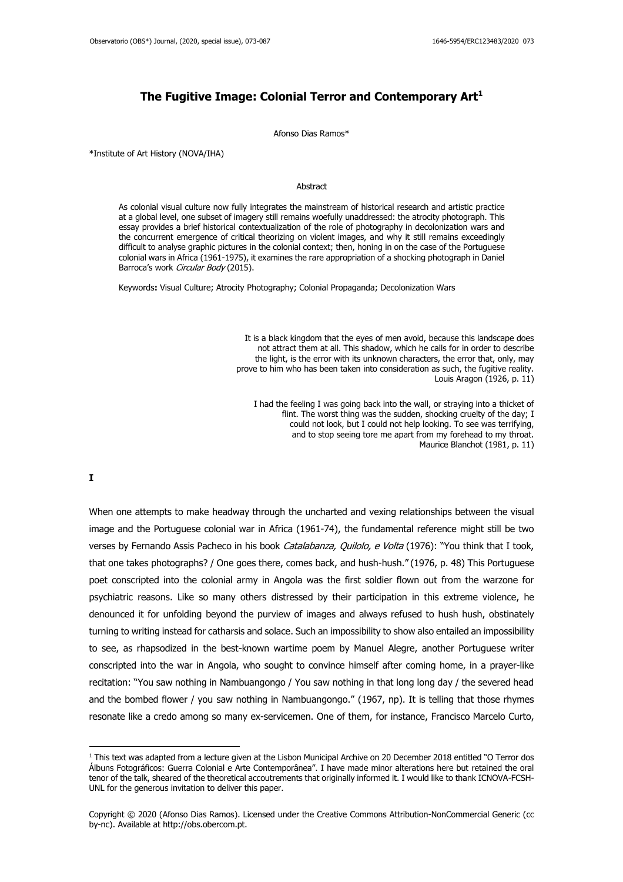## **The Fugitive Image: Colonial Terror and Contemporary Art<sup>1</sup>**

Afonso Dias Ramos\*

\*Institute of Art History (NOVA/IHA)

## Abstract

As colonial visual culture now fully integrates the mainstream of historical research and artistic practice at a global level, one subset of imagery still remains woefully unaddressed: the atrocity photograph. This essay provides a brief historical contextualization of the role of photography in decolonization wars and the concurrent emergence of critical theorizing on violent images, and why it still remains exceedingly difficult to analyse graphic pictures in the colonial context; then, honing in on the case of the Portuguese colonial wars in Africa (1961-1975), it examines the rare appropriation of a shocking photograph in Daniel Barroca's work Circular Body (2015).

Keywords**:** Visual Culture; Atrocity Photography; Colonial Propaganda; Decolonization Wars

It is a black kingdom that the eyes of men avoid, because this landscape does not attract them at all. This shadow, which he calls for in order to describe the light, is the error with its unknown characters, the error that, only, may prove to him who has been taken into consideration as such, the fugitive reality. Louis Aragon (1926, p. 11)

I had the feeling I was going back into the wall, or straying into a thicket of flint. The worst thing was the sudden, shocking cruelty of the day; I could not look, but I could not help looking. To see was terrifying, and to stop seeing tore me apart from my forehead to my throat. Maurice Blanchot (1981, p. 11)

**I**

When one attempts to make headway through the uncharted and vexing relationships between the visual image and the Portuguese colonial war in Africa (1961-74), the fundamental reference might still be two verses by Fernando Assis Pacheco in his book Catalabanza, Quilolo, e Volta (1976): "You think that I took, that one takes photographs? / One goes there, comes back, and hush-hush." (1976, p. 48) This Portuguese poet conscripted into the colonial army in Angola was the first soldier flown out from the warzone for psychiatric reasons. Like so many others distressed by their participation in this extreme violence, he denounced it for unfolding beyond the purview of images and always refused to hush hush, obstinately turning to writing instead for catharsis and solace. Such an impossibility to show also entailed an impossibility to see, as rhapsodized in the best-known wartime poem by Manuel Alegre, another Portuguese writer conscripted into the war in Angola, who sought to convince himself after coming home, in a prayer-like recitation: "You saw nothing in Nambuangongo / You saw nothing in that long long day / the severed head and the bombed flower / you saw nothing in Nambuangongo." (1967, np). It is telling that those rhymes resonate like a credo among so many ex-servicemen. One of them, for instance, Francisco Marcelo Curto,

<sup>1</sup> This text was adapted from a lecture given at the Lisbon Municipal Archive on 20 December 2018 entitled "O Terror dos Álbuns Fotográficos: Guerra Colonial e Arte Contemporânea". I have made minor alterations here but retained the oral tenor of the talk, sheared of the theoretical accoutrements that originally informed it. I would like to thank ICNOVA-FCSH-UNL for the generous invitation to deliver this paper.

Copyright © 2020 (Afonso Dias Ramos). Licensed under the Creative Commons Attribution-NonCommercial Generic (cc by-nc). Available at http://obs.obercom.pt.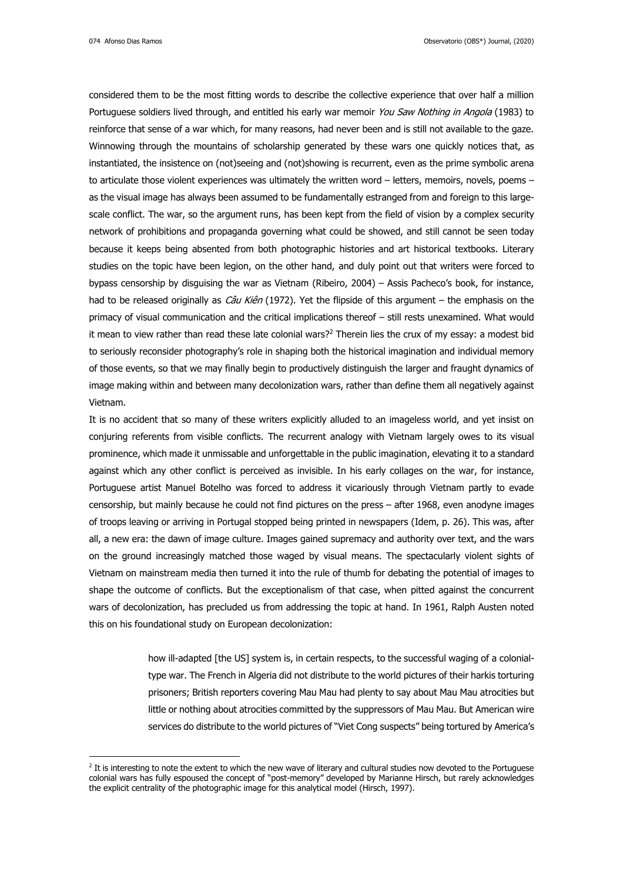considered them to be the most fitting words to describe the collective experience that over half a million Portuguese soldiers lived through, and entitled his early war memoir You Saw Nothing in Angola (1983) to reinforce that sense of a war which, for many reasons, had never been and is still not available to the gaze. Winnowing through the mountains of scholarship generated by these wars one quickly notices that, as instantiated, the insistence on (not)seeing and (not)showing is recurrent, even as the prime symbolic arena to articulate those violent experiences was ultimately the written word - letters, memoirs, novels, poems as the visual image has always been assumed to be fundamentally estranged from and foreign to this largescale conflict. The war, so the argument runs, has been kept from the field of vision by a complex security network of prohibitions and propaganda governing what could be showed, and still cannot be seen today because it keeps being absented from both photographic histories and art historical textbooks. Literary studies on the topic have been legion, on the other hand, and duly point out that writers were forced to bypass censorship by disguising the war as Vietnam (Ribeiro, 2004) – Assis Pacheco's book, for instance, had to be released originally as *Câu Kiên* (1972). Yet the flipside of this argument – the emphasis on the primacy of visual communication and the critical implications thereof – still rests unexamined. What would it mean to view rather than read these late colonial wars?<sup>2</sup> Therein lies the crux of my essay: a modest bid to seriously reconsider photography's role in shaping both the historical imagination and individual memory of those events, so that we may finally begin to productively distinguish the larger and fraught dynamics of image making within and between many decolonization wars, rather than define them all negatively against Vietnam.

It is no accident that so many of these writers explicitly alluded to an imageless world, and yet insist on conjuring referents from visible conflicts. The recurrent analogy with Vietnam largely owes to its visual prominence, which made it unmissable and unforgettable in the public imagination, elevating it to a standard against which any other conflict is perceived as invisible. In his early collages on the war, for instance, Portuguese artist Manuel Botelho was forced to address it vicariously through Vietnam partly to evade censorship, but mainly because he could not find pictures on the press – after 1968, even anodyne images of troops leaving or arriving in Portugal stopped being printed in newspapers (Idem, p. 26). This was, after all, a new era: the dawn of image culture. Images gained supremacy and authority over text, and the wars on the ground increasingly matched those waged by visual means. The spectacularly violent sights of Vietnam on mainstream media then turned it into the rule of thumb for debating the potential of images to shape the outcome of conflicts. But the exceptionalism of that case, when pitted against the concurrent wars of decolonization, has precluded us from addressing the topic at hand. In 1961, Ralph Austen noted this on his foundational study on European decolonization:

> how ill-adapted [the US] system is, in certain respects, to the successful waging of a colonialtype war. The French in Algeria did not distribute to the world pictures of their harkis torturing prisoners; British reporters covering Mau Mau had plenty to say about Mau Mau atrocities but little or nothing about atrocities committed by the suppressors of Mau Mau. But American wire services do distribute to the world pictures of "Viet Cong suspects" being tortured by America's

 $2$  It is interesting to note the extent to which the new wave of literary and cultural studies now devoted to the Portuguese colonial wars has fully espoused the concept of "post-memory" developed by Marianne Hirsch, but rarely acknowledges the explicit centrality of the photographic image for this analytical model (Hirsch, 1997).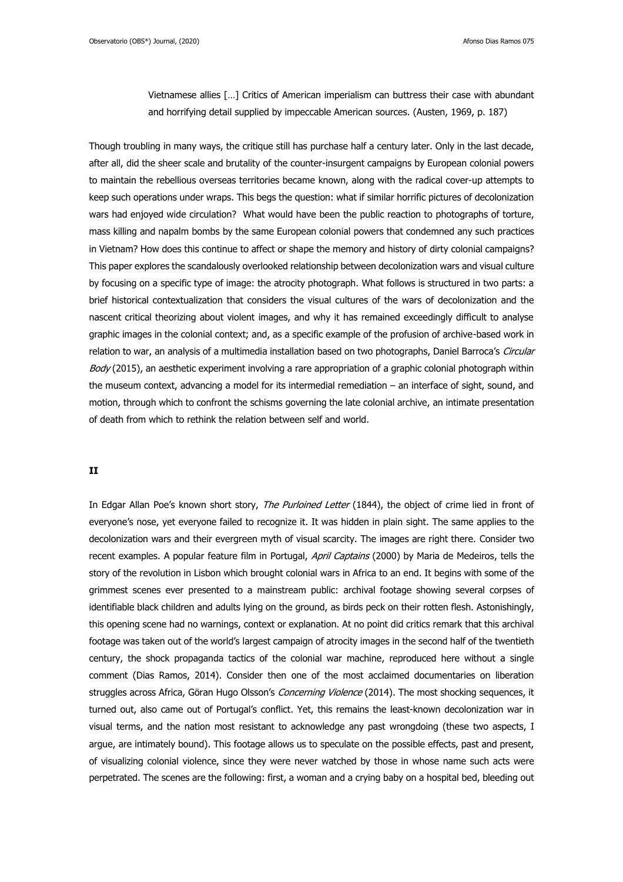Observatorio (OBS\*) Journal, (2020) and the control of the control of the control of the control of the control of the control of the control of the control of the control of the control of the control of the control of th

Vietnamese allies […] Critics of American imperialism can buttress their case with abundant and horrifying detail supplied by impeccable American sources. (Austen, 1969, p. 187)

Though troubling in many ways, the critique still has purchase half a century later. Only in the last decade, after all, did the sheer scale and brutality of the counter-insurgent campaigns by European colonial powers to maintain the rebellious overseas territories became known, along with the radical cover-up attempts to keep such operations under wraps. This begs the question: what if similar horrific pictures of decolonization wars had enjoyed wide circulation? What would have been the public reaction to photographs of torture, mass killing and napalm bombs by the same European colonial powers that condemned any such practices in Vietnam? How does this continue to affect or shape the memory and history of dirty colonial campaigns? This paper explores the scandalously overlooked relationship between decolonization wars and visual culture by focusing on a specific type of image: the atrocity photograph. What follows is structured in two parts: a brief historical contextualization that considers the visual cultures of the wars of decolonization and the nascent critical theorizing about violent images, and why it has remained exceedingly difficult to analyse graphic images in the colonial context; and, as a specific example of the profusion of archive-based work in relation to war, an analysis of a multimedia installation based on two photographs, Daniel Barroca's Circular Body (2015), an aesthetic experiment involving a rare appropriation of a graphic colonial photograph within the museum context, advancing a model for its intermedial remediation – an interface of sight, sound, and motion, through which to confront the schisms governing the late colonial archive, an intimate presentation of death from which to rethink the relation between self and world.

## **II**

In Edgar Allan Poe's known short story, The Purloined Letter (1844), the object of crime lied in front of everyone's nose, yet everyone failed to recognize it. It was hidden in plain sight. The same applies to the decolonization wars and their evergreen myth of visual scarcity. The images are right there. Consider two recent examples. A popular feature film in Portugal, April Captains (2000) by Maria de Medeiros, tells the story of the revolution in Lisbon which brought colonial wars in Africa to an end. It begins with some of the grimmest scenes ever presented to a mainstream public: archival footage showing several corpses of identifiable black children and adults lying on the ground, as birds peck on their rotten flesh. Astonishingly, this opening scene had no warnings, context or explanation. At no point did critics remark that this archival footage was taken out of the world's largest campaign of atrocity images in the second half of the twentieth century, the shock propaganda tactics of the colonial war machine, reproduced here without a single comment (Dias Ramos, 2014). Consider then one of the most acclaimed documentaries on liberation struggles across Africa, Göran Hugo Olsson's Concerning Violence (2014). The most shocking sequences, it turned out, also came out of Portugal's conflict. Yet, this remains the least-known decolonization war in visual terms, and the nation most resistant to acknowledge any past wrongdoing (these two aspects, I argue, are intimately bound). This footage allows us to speculate on the possible effects, past and present, of visualizing colonial violence, since they were never watched by those in whose name such acts were perpetrated. The scenes are the following: first, a woman and a crying baby on a hospital bed, bleeding out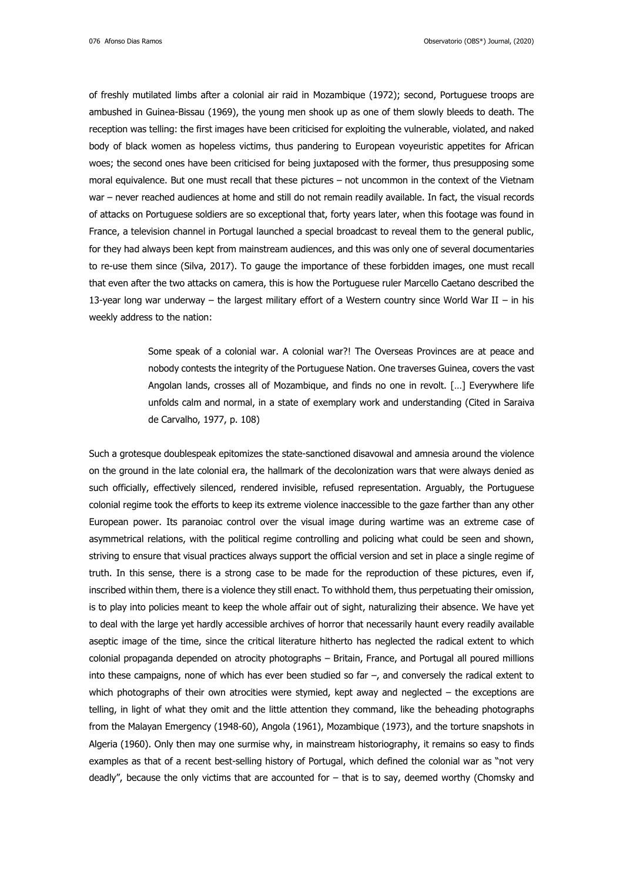of freshly mutilated limbs after a colonial air raid in Mozambique (1972); second, Portuguese troops are ambushed in Guinea-Bissau (1969), the young men shook up as one of them slowly bleeds to death. The reception was telling: the first images have been criticised for exploiting the vulnerable, violated, and naked body of black women as hopeless victims, thus pandering to European voyeuristic appetites for African woes; the second ones have been criticised for being juxtaposed with the former, thus presupposing some moral equivalence. But one must recall that these pictures – not uncommon in the context of the Vietnam war – never reached audiences at home and still do not remain readily available. In fact, the visual records of attacks on Portuguese soldiers are so exceptional that, forty years later, when this footage was found in France, a television channel in Portugal launched a special broadcast to reveal them to the general public, for they had always been kept from mainstream audiences, and this was only one of several documentaries to re-use them since (Silva, 2017). To gauge the importance of these forbidden images, one must recall that even after the two attacks on camera, this is how the Portuguese ruler Marcello Caetano described the 13-year long war underway – the largest military effort of a Western country since World War II – in his weekly address to the nation:

> Some speak of a colonial war. A colonial war?! The Overseas Provinces are at peace and nobody contests the integrity of the Portuguese Nation. One traverses Guinea, covers the vast Angolan lands, crosses all of Mozambique, and finds no one in revolt. […] Everywhere life unfolds calm and normal, in a state of exemplary work and understanding (Cited in Saraiva de Carvalho, 1977, p. 108)

Such a grotesque doublespeak epitomizes the state-sanctioned disavowal and amnesia around the violence on the ground in the late colonial era, the hallmark of the decolonization wars that were always denied as such officially, effectively silenced, rendered invisible, refused representation. Arguably, the Portuguese colonial regime took the efforts to keep its extreme violence inaccessible to the gaze farther than any other European power. Its paranoiac control over the visual image during wartime was an extreme case of asymmetrical relations, with the political regime controlling and policing what could be seen and shown, striving to ensure that visual practices always support the official version and set in place a single regime of truth. In this sense, there is a strong case to be made for the reproduction of these pictures, even if, inscribed within them, there is a violence they still enact. To withhold them, thus perpetuating their omission, is to play into policies meant to keep the whole affair out of sight, naturalizing their absence. We have yet to deal with the large yet hardly accessible archives of horror that necessarily haunt every readily available aseptic image of the time, since the critical literature hitherto has neglected the radical extent to which colonial propaganda depended on atrocity photographs – Britain, France, and Portugal all poured millions into these campaigns, none of which has ever been studied so far –, and conversely the radical extent to which photographs of their own atrocities were stymied, kept away and neglected – the exceptions are telling, in light of what they omit and the little attention they command, like the beheading photographs from the Malayan Emergency (1948-60), Angola (1961), Mozambique (1973), and the torture snapshots in Algeria (1960). Only then may one surmise why, in mainstream historiography, it remains so easy to finds examples as that of a recent best-selling history of Portugal, which defined the colonial war as "not very deadly", because the only victims that are accounted for – that is to say, deemed worthy (Chomsky and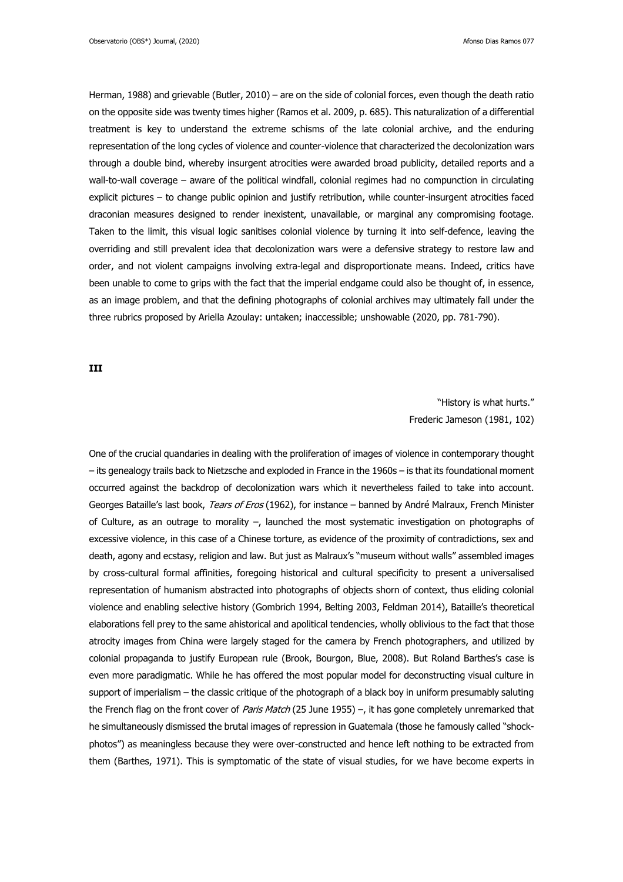Herman, 1988) and grievable (Butler, 2010) – are on the side of colonial forces, even though the death ratio on the opposite side was twenty times higher (Ramos et al. 2009, p. 685). This naturalization of a differential treatment is key to understand the extreme schisms of the late colonial archive, and the enduring representation of the long cycles of violence and counter-violence that characterized the decolonization wars through a double bind, whereby insurgent atrocities were awarded broad publicity, detailed reports and a wall-to-wall coverage – aware of the political windfall, colonial regimes had no compunction in circulating explicit pictures – to change public opinion and justify retribution, while counter-insurgent atrocities faced draconian measures designed to render inexistent, unavailable, or marginal any compromising footage. Taken to the limit, this visual logic sanitises colonial violence by turning it into self-defence, leaving the overriding and still prevalent idea that decolonization wars were a defensive strategy to restore law and order, and not violent campaigns involving extra-legal and disproportionate means. Indeed, critics have been unable to come to grips with the fact that the imperial endgame could also be thought of, in essence, as an image problem, and that the defining photographs of colonial archives may ultimately fall under the three rubrics proposed by Ariella Azoulay: untaken; inaccessible; unshowable (2020, pp. 781-790).

**III**

"History is what hurts." Frederic Jameson (1981, 102)

One of the crucial quandaries in dealing with the proliferation of images of violence in contemporary thought – its genealogy trails back to Nietzsche and exploded in France in the 1960s – is that its foundational moment occurred against the backdrop of decolonization wars which it nevertheless failed to take into account. Georges Bataille's last book, Tears of Eros (1962), for instance – banned by André Malraux, French Minister of Culture, as an outrage to morality –, launched the most systematic investigation on photographs of excessive violence, in this case of a Chinese torture, as evidence of the proximity of contradictions, sex and death, agony and ecstasy, religion and law. But just as Malraux's "museum without walls" assembled images by cross-cultural formal affinities, foregoing historical and cultural specificity to present a universalised representation of humanism abstracted into photographs of objects shorn of context, thus eliding colonial violence and enabling selective history (Gombrich 1994, Belting 2003, Feldman 2014), Bataille's theoretical elaborations fell prey to the same ahistorical and apolitical tendencies, wholly oblivious to the fact that those atrocity images from China were largely staged for the camera by French photographers, and utilized by colonial propaganda to justify European rule (Brook, Bourgon, Blue, 2008). But Roland Barthes's case is even more paradigmatic. While he has offered the most popular model for deconstructing visual culture in support of imperialism – the classic critique of the photograph of a black boy in uniform presumably saluting the French flag on the front cover of Paris Match (25 June 1955) –, it has gone completely unremarked that he simultaneously dismissed the brutal images of repression in Guatemala (those he famously called "shockphotos") as meaningless because they were over-constructed and hence left nothing to be extracted from them (Barthes, 1971). This is symptomatic of the state of visual studies, for we have become experts in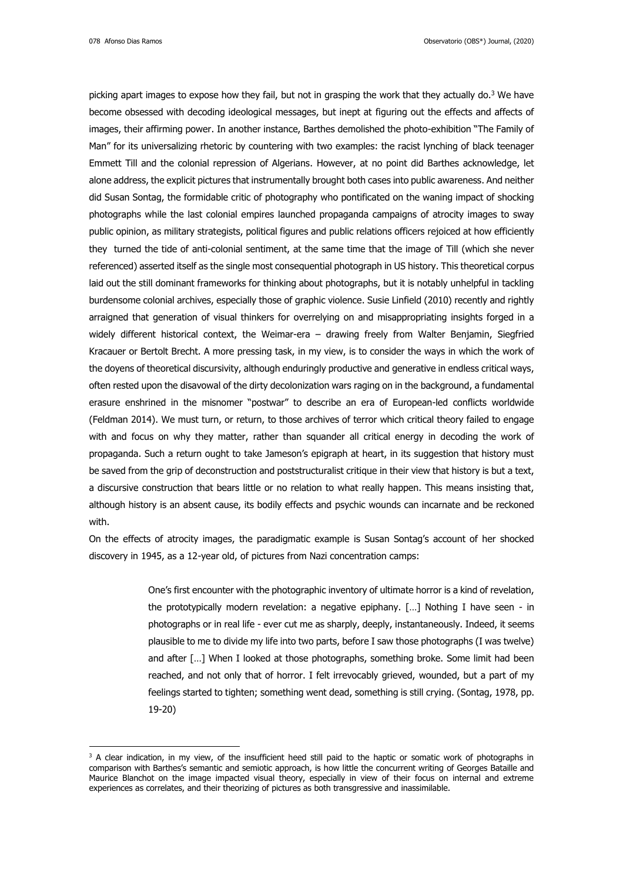078 Afonso Dias Ramos Observatorio (OBS\*) Journal, (2020)

picking apart images to expose how they fail, but not in grasping the work that they actually do. <sup>3</sup> We have become obsessed with decoding ideological messages, but inept at figuring out the effects and affects of images, their affirming power. In another instance, Barthes demolished the photo-exhibition "The Family of Man" for its universalizing rhetoric by countering with two examples: the racist lynching of black teenager Emmett Till and the colonial repression of Algerians. However, at no point did Barthes acknowledge, let alone address, the explicit pictures that instrumentally brought both cases into public awareness. And neither did Susan Sontag, the formidable critic of photography who pontificated on the waning impact of shocking photographs while the last colonial empires launched propaganda campaigns of atrocity images to sway public opinion, as military strategists, political figures and public relations officers rejoiced at how efficiently they turned the tide of anti-colonial sentiment, at the same time that the image of Till (which she never referenced) asserted itself as the single most consequential photograph in US history. This theoretical corpus laid out the still dominant frameworks for thinking about photographs, but it is notably unhelpful in tackling burdensome colonial archives, especially those of graphic violence. Susie Linfield (2010) recently and rightly arraigned that generation of visual thinkers for overrelying on and misappropriating insights forged in a widely different historical context, the Weimar-era – drawing freely from Walter Benjamin, Siegfried Kracauer or Bertolt Brecht. A more pressing task, in my view, is to consider the ways in which the work of the doyens of theoretical discursivity, although enduringly productive and generative in endless critical ways, often rested upon the disavowal of the dirty decolonization wars raging on in the background, a fundamental erasure enshrined in the misnomer "postwar" to describe an era of European-led conflicts worldwide (Feldman 2014). We must turn, or return, to those archives of terror which critical theory failed to engage with and focus on why they matter, rather than squander all critical energy in decoding the work of propaganda. Such a return ought to take Jameson's epigraph at heart, in its suggestion that history must be saved from the grip of deconstruction and poststructuralist critique in their view that history is but a text, a discursive construction that bears little or no relation to what really happen. This means insisting that, although history is an absent cause, its bodily effects and psychic wounds can incarnate and be reckoned with.

On the effects of atrocity images, the paradigmatic example is Susan Sontag's account of her shocked discovery in 1945, as a 12-year old, of pictures from Nazi concentration camps:

> One's first encounter with the photographic inventory of ultimate horror is a kind of revelation, the prototypically modern revelation: a negative epiphany. […] Nothing I have seen - in photographs or in real life - ever cut me as sharply, deeply, instantaneously. Indeed, it seems plausible to me to divide my life into two parts, before I saw those photographs (I was twelve) and after […] When I looked at those photographs, something broke. Some limit had been reached, and not only that of horror. I felt irrevocably grieved, wounded, but a part of my feelings started to tighten; something went dead, something is still crying. (Sontag, 1978, pp. 19-20)

<sup>&</sup>lt;sup>3</sup> A clear indication, in my view, of the insufficient heed still paid to the haptic or somatic work of photographs in comparison with Barthes's semantic and semiotic approach, is how little the concurrent writing of Georges Bataille and Maurice Blanchot on the image impacted visual theory, especially in view of their focus on internal and extreme experiences as correlates, and their theorizing of pictures as both transgressive and inassimilable.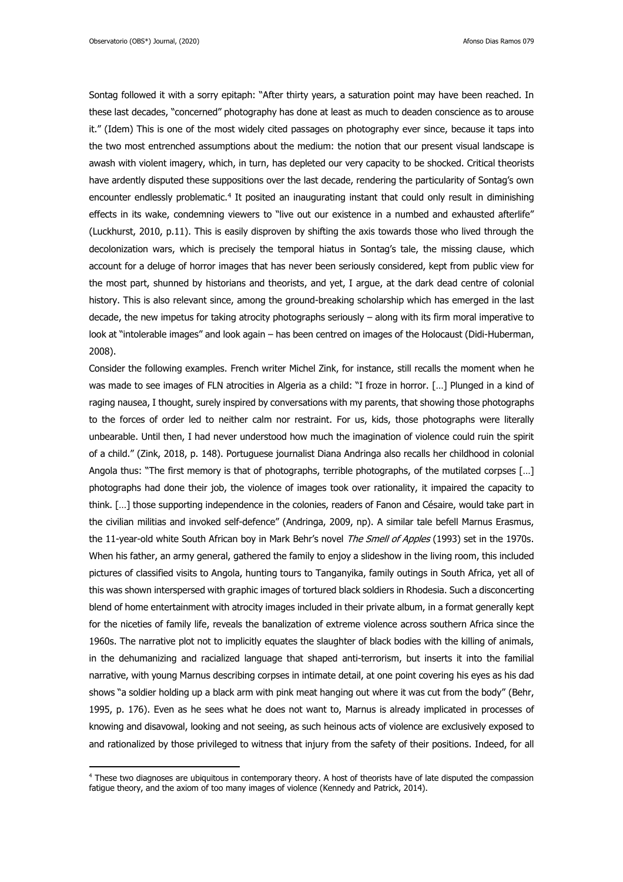Sontag followed it with a sorry epitaph: "After thirty years, a saturation point may have been reached. In these last decades, "concerned" photography has done at least as much to deaden conscience as to arouse it." (Idem) This is one of the most widely cited passages on photography ever since, because it taps into the two most entrenched assumptions about the medium: the notion that our present visual landscape is awash with violent imagery, which, in turn, has depleted our very capacity to be shocked. Critical theorists have ardently disputed these suppositions over the last decade, rendering the particularity of Sontag's own encounter endlessly problematic.<sup>4</sup> It posited an inaugurating instant that could only result in diminishing effects in its wake, condemning viewers to "live out our existence in a numbed and exhausted afterlife" (Luckhurst, 2010, p.11). This is easily disproven by shifting the axis towards those who lived through the decolonization wars, which is precisely the temporal hiatus in Sontag's tale, the missing clause, which account for a deluge of horror images that has never been seriously considered, kept from public view for the most part, shunned by historians and theorists, and yet, I argue, at the dark dead centre of colonial history. This is also relevant since, among the ground-breaking scholarship which has emerged in the last decade, the new impetus for taking atrocity photographs seriously – along with its firm moral imperative to look at "intolerable images" and look again – has been centred on images of the Holocaust (Didi-Huberman, 2008).

Consider the following examples. French writer Michel Zink, for instance, still recalls the moment when he was made to see images of FLN atrocities in Algeria as a child: "I froze in horror. [...] Plunged in a kind of raging nausea, I thought, surely inspired by conversations with my parents, that showing those photographs to the forces of order led to neither calm nor restraint. For us, kids, those photographs were literally unbearable. Until then, I had never understood how much the imagination of violence could ruin the spirit of a child." (Zink, 2018, p. 148). Portuguese journalist Diana Andringa also recalls her childhood in colonial Angola thus: "The first memory is that of photographs, terrible photographs, of the mutilated corpses [...] photographs had done their job, the violence of images took over rationality, it impaired the capacity to think. […] those supporting independence in the colonies, readers of Fanon and Césaire, would take part in the civilian militias and invoked self-defence" (Andringa, 2009, np). A similar tale befell Marnus Erasmus, the 11-year-old white South African boy in Mark Behr's novel The Smell of Apples (1993) set in the 1970s. When his father, an army general, gathered the family to enjoy a slideshow in the living room, this included pictures of classified visits to Angola, hunting tours to Tanganyika, family outings in South Africa, yet all of this was shown interspersed with graphic images of tortured black soldiers in Rhodesia. Such a disconcerting blend of home entertainment with atrocity images included in their private album, in a format generally kept for the niceties of family life, reveals the banalization of extreme violence across southern Africa since the 1960s. The narrative plot not to implicitly equates the slaughter of black bodies with the killing of animals, in the dehumanizing and racialized language that shaped anti-terrorism, but inserts it into the familial narrative, with young Marnus describing corpses in intimate detail, at one point covering his eyes as his dad shows "a soldier holding up a black arm with pink meat hanging out where it was cut from the body" (Behr, 1995, p. 176). Even as he sees what he does not want to, Marnus is already implicated in processes of knowing and disavowal, looking and not seeing, as such heinous acts of violence are exclusively exposed to and rationalized by those privileged to witness that injury from the safety of their positions. Indeed, for all

<sup>&</sup>lt;sup>4</sup> These two diagnoses are ubiquitous in contemporary theory. A host of theorists have of late disputed the compassion fatigue theory, and the axiom of too many images of violence (Kennedy and Patrick, 2014).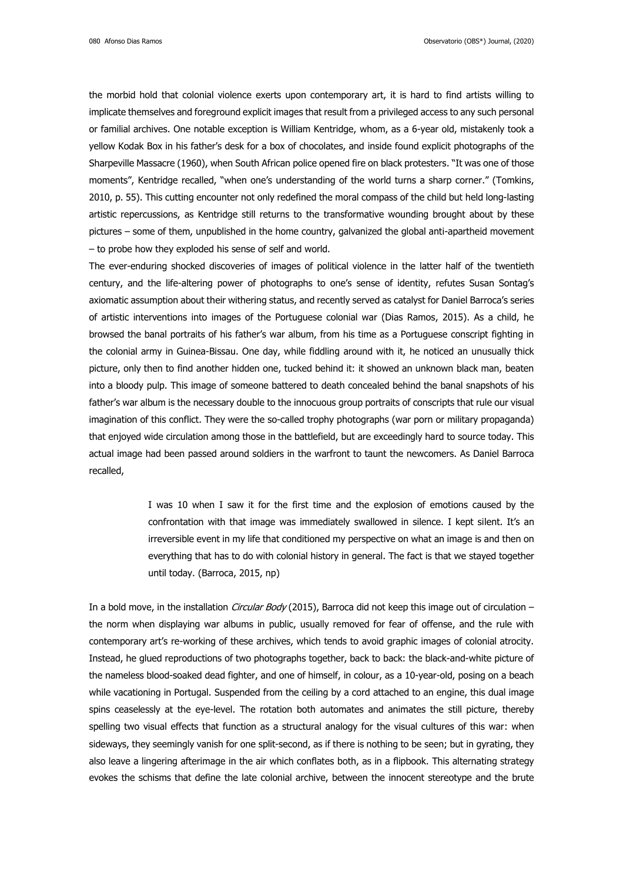the morbid hold that colonial violence exerts upon contemporary art, it is hard to find artists willing to implicate themselves and foreground explicit images that result from a privileged access to any such personal or familial archives. One notable exception is William Kentridge, whom, as a 6-year old, mistakenly took a yellow Kodak Box in his father's desk for a box of chocolates, and inside found explicit photographs of the Sharpeville Massacre (1960), when South African police opened fire on black protesters. "It was one of those moments", Kentridge recalled, "when one's understanding of the world turns a sharp corner." (Tomkins, 2010, p. 55). This cutting encounter not only redefined the moral compass of the child but held long-lasting artistic repercussions, as Kentridge still returns to the transformative wounding brought about by these pictures – some of them, unpublished in the home country, galvanized the global anti-apartheid movement – to probe how they exploded his sense of self and world.

The ever-enduring shocked discoveries of images of political violence in the latter half of the twentieth century, and the life-altering power of photographs to one's sense of identity, refutes Susan Sontag's axiomatic assumption about their withering status, and recently served as catalyst for Daniel Barroca's series of artistic interventions into images of the Portuguese colonial war (Dias Ramos, 2015). As a child, he browsed the banal portraits of his father's war album, from his time as a Portuguese conscript fighting in the colonial army in Guinea-Bissau. One day, while fiddling around with it, he noticed an unusually thick picture, only then to find another hidden one, tucked behind it: it showed an unknown black man, beaten into a bloody pulp. This image of someone battered to death concealed behind the banal snapshots of his father's war album is the necessary double to the innocuous group portraits of conscripts that rule our visual imagination of this conflict. They were the so-called trophy photographs (war porn or military propaganda) that enjoyed wide circulation among those in the battlefield, but are exceedingly hard to source today. This actual image had been passed around soldiers in the warfront to taunt the newcomers. As Daniel Barroca recalled,

> I was 10 when I saw it for the first time and the explosion of emotions caused by the confrontation with that image was immediately swallowed in silence. I kept silent. It's an irreversible event in my life that conditioned my perspective on what an image is and then on everything that has to do with colonial history in general. The fact is that we stayed together until today. (Barroca, 2015, np)

In a bold move, in the installation *Circular Body* (2015), Barroca did not keep this image out of circulation  $$ the norm when displaying war albums in public, usually removed for fear of offense, and the rule with contemporary art's re-working of these archives, which tends to avoid graphic images of colonial atrocity. Instead, he glued reproductions of two photographs together, back to back: the black-and-white picture of the nameless blood-soaked dead fighter, and one of himself, in colour, as a 10-year-old, posing on a beach while vacationing in Portugal. Suspended from the ceiling by a cord attached to an engine, this dual image spins ceaselessly at the eye-level. The rotation both automates and animates the still picture, thereby spelling two visual effects that function as a structural analogy for the visual cultures of this war: when sideways, they seemingly vanish for one split-second, as if there is nothing to be seen; but in gyrating, they also leave a lingering afterimage in the air which conflates both, as in a flipbook. This alternating strategy evokes the schisms that define the late colonial archive, between the innocent stereotype and the brute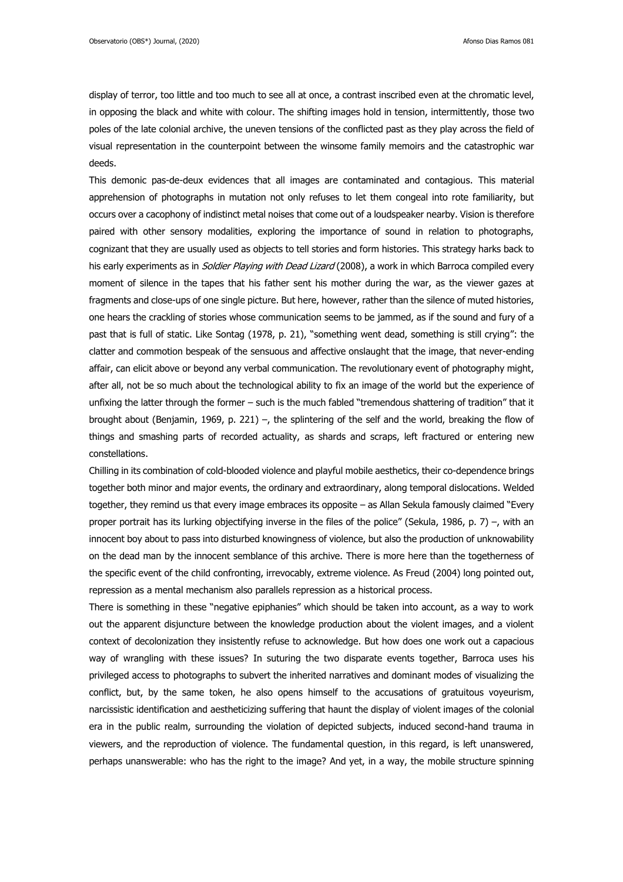display of terror, too little and too much to see all at once, a contrast inscribed even at the chromatic level, in opposing the black and white with colour. The shifting images hold in tension, intermittently, those two poles of the late colonial archive, the uneven tensions of the conflicted past as they play across the field of visual representation in the counterpoint between the winsome family memoirs and the catastrophic war deeds.

This demonic pas-de-deux evidences that all images are contaminated and contagious. This material apprehension of photographs in mutation not only refuses to let them congeal into rote familiarity, but occurs over a cacophony of indistinct metal noises that come out of a loudspeaker nearby. Vision is therefore paired with other sensory modalities, exploring the importance of sound in relation to photographs, cognizant that they are usually used as objects to tell stories and form histories. This strategy harks back to his early experiments as in *Soldier Playing with Dead Lizard* (2008), a work in which Barroca compiled every moment of silence in the tapes that his father sent his mother during the war, as the viewer gazes at fragments and close-ups of one single picture. But here, however, rather than the silence of muted histories, one hears the crackling of stories whose communication seems to be jammed, as if the sound and fury of a past that is full of static. Like Sontag (1978, p. 21), "something went dead, something is still crying": the clatter and commotion bespeak of the sensuous and affective onslaught that the image, that never-ending affair, can elicit above or beyond any verbal communication. The revolutionary event of photography might, after all, not be so much about the technological ability to fix an image of the world but the experience of unfixing the latter through the former – such is the much fabled "tremendous shattering of tradition" that it brought about (Benjamin, 1969, p. 221) –, the splintering of the self and the world, breaking the flow of things and smashing parts of recorded actuality, as shards and scraps, left fractured or entering new constellations.

Chilling in its combination of cold-blooded violence and playful mobile aesthetics, their co-dependence brings together both minor and major events, the ordinary and extraordinary, along temporal dislocations. Welded together, they remind us that every image embraces its opposite – as Allan Sekula famously claimed "Every proper portrait has its lurking objectifying inverse in the files of the police" (Sekula, 1986, p. 7) –, with an innocent boy about to pass into disturbed knowingness of violence, but also the production of unknowability on the dead man by the innocent semblance of this archive. There is more here than the togetherness of the specific event of the child confronting, irrevocably, extreme violence. As Freud (2004) long pointed out, repression as a mental mechanism also parallels repression as a historical process.

There is something in these "negative epiphanies" which should be taken into account, as a way to work out the apparent disjuncture between the knowledge production about the violent images, and a violent context of decolonization they insistently refuse to acknowledge. But how does one work out a capacious way of wrangling with these issues? In suturing the two disparate events together, Barroca uses his privileged access to photographs to subvert the inherited narratives and dominant modes of visualizing the conflict, but, by the same token, he also opens himself to the accusations of gratuitous voyeurism, narcissistic identification and aestheticizing suffering that haunt the display of violent images of the colonial era in the public realm, surrounding the violation of depicted subjects, induced second-hand trauma in viewers, and the reproduction of violence. The fundamental question, in this regard, is left unanswered, perhaps unanswerable: who has the right to the image? And yet, in a way, the mobile structure spinning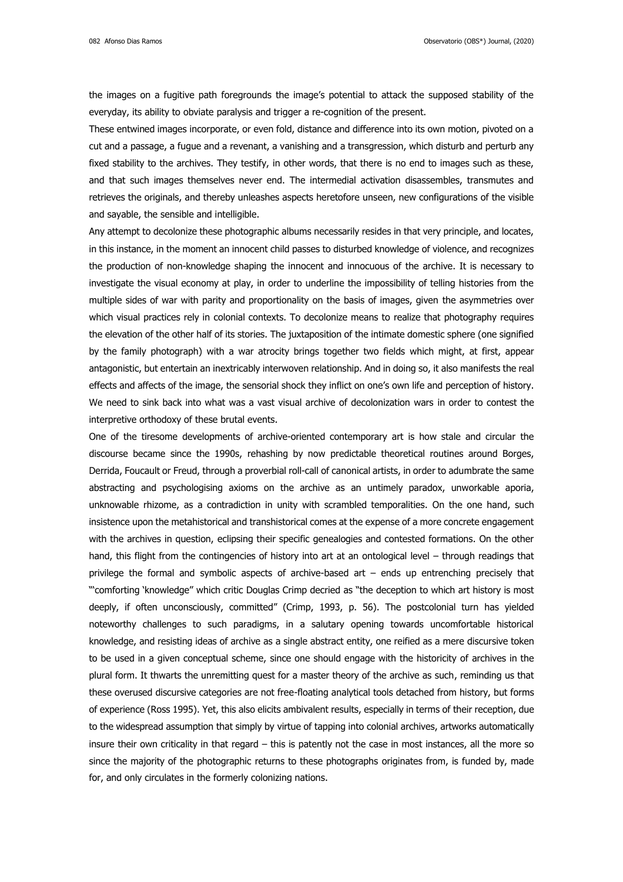the images on a fugitive path foregrounds the image's potential to attack the supposed stability of the everyday, its ability to obviate paralysis and trigger a re-cognition of the present.

These entwined images incorporate, or even fold, distance and difference into its own motion, pivoted on a cut and a passage, a fugue and a revenant, a vanishing and a transgression, which disturb and perturb any fixed stability to the archives. They testify, in other words, that there is no end to images such as these, and that such images themselves never end. The intermedial activation disassembles, transmutes and retrieves the originals, and thereby unleashes aspects heretofore unseen, new configurations of the visible and sayable, the sensible and intelligible.

Any attempt to decolonize these photographic albums necessarily resides in that very principle, and locates, in this instance, in the moment an innocent child passes to disturbed knowledge of violence, and recognizes the production of non-knowledge shaping the innocent and innocuous of the archive. It is necessary to investigate the visual economy at play, in order to underline the impossibility of telling histories from the multiple sides of war with parity and proportionality on the basis of images, given the asymmetries over which visual practices rely in colonial contexts. To decolonize means to realize that photography requires the elevation of the other half of its stories. The juxtaposition of the intimate domestic sphere (one signified by the family photograph) with a war atrocity brings together two fields which might, at first, appear antagonistic, but entertain an inextricably interwoven relationship. And in doing so, it also manifests the real effects and affects of the image, the sensorial shock they inflict on one's own life and perception of history. We need to sink back into what was a vast visual archive of decolonization wars in order to contest the interpretive orthodoxy of these brutal events.

One of the tiresome developments of archive-oriented contemporary art is how stale and circular the discourse became since the 1990s, rehashing by now predictable theoretical routines around Borges, Derrida, Foucault or Freud, through a proverbial roll-call of canonical artists, in order to adumbrate the same abstracting and psychologising axioms on the archive as an untimely paradox, unworkable aporia, unknowable rhizome, as a contradiction in unity with scrambled temporalities. On the one hand, such insistence upon the metahistorical and transhistorical comes at the expense of a more concrete engagement with the archives in question, eclipsing their specific genealogies and contested formations. On the other hand, this flight from the contingencies of history into art at an ontological level – through readings that privilege the formal and symbolic aspects of archive-based art – ends up entrenching precisely that "'comforting 'knowledge'' which critic Douglas Crimp decried as "the deception to which art history is most deeply, if often unconsciously, committed" (Crimp, 1993, p. 56). The postcolonial turn has yielded noteworthy challenges to such paradigms, in a salutary opening towards uncomfortable historical knowledge, and resisting ideas of archive as a single abstract entity, one reified as a mere discursive token to be used in a given conceptual scheme, since one should engage with the historicity of archives in the plural form. It thwarts the unremitting quest for a master theory of the archive as such, reminding us that these overused discursive categories are not free-floating analytical tools detached from history, but forms of experience (Ross 1995). Yet, this also elicits ambivalent results, especially in terms of their reception, due to the widespread assumption that simply by virtue of tapping into colonial archives, artworks automatically insure their own criticality in that regard – this is patently not the case in most instances, all the more so since the majority of the photographic returns to these photographs originates from, is funded by, made for, and only circulates in the formerly colonizing nations.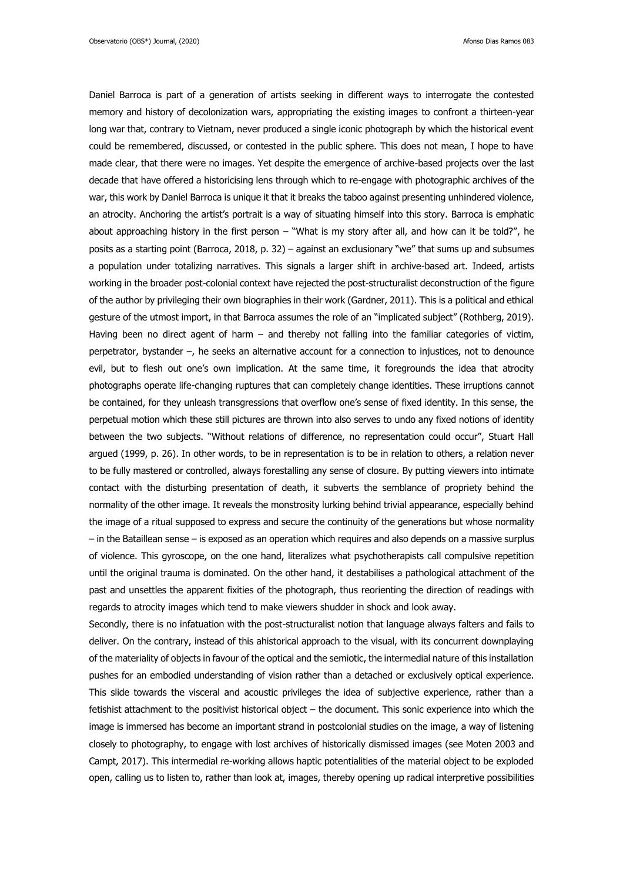Daniel Barroca is part of a generation of artists seeking in different ways to interrogate the contested memory and history of decolonization wars, appropriating the existing images to confront a thirteen-year long war that, contrary to Vietnam, never produced a single iconic photograph by which the historical event could be remembered, discussed, or contested in the public sphere. This does not mean, I hope to have made clear, that there were no images. Yet despite the emergence of archive-based projects over the last decade that have offered a historicising lens through which to re-engage with photographic archives of the war, this work by Daniel Barroca is unique it that it breaks the taboo against presenting unhindered violence, an atrocity. Anchoring the artist's portrait is a way of situating himself into this story. Barroca is emphatic about approaching history in the first person – "What is my story after all, and how can it be told?", he posits as a starting point (Barroca, 2018, p. 32) – against an exclusionary "we" that sums up and subsumes a population under totalizing narratives. This signals a larger shift in archive-based art. Indeed, artists working in the broader post-colonial context have rejected the post-structuralist deconstruction of the figure of the author by privileging their own biographies in their work (Gardner, 2011). This is a political and ethical gesture of the utmost import, in that Barroca assumes the role of an "implicated subject" (Rothberg, 2019). Having been no direct agent of harm – and thereby not falling into the familiar categories of victim, perpetrator, bystander –, he seeks an alternative account for a connection to injustices, not to denounce evil, but to flesh out one's own implication. At the same time, it foregrounds the idea that atrocity photographs operate life-changing ruptures that can completely change identities. These irruptions cannot be contained, for they unleash transgressions that overflow one's sense of fixed identity. In this sense, the perpetual motion which these still pictures are thrown into also serves to undo any fixed notions of identity between the two subjects. "Without relations of difference, no representation could occur", Stuart Hall argued (1999, p. 26). In other words, to be in representation is to be in relation to others, a relation never to be fully mastered or controlled, always forestalling any sense of closure. By putting viewers into intimate contact with the disturbing presentation of death, it subverts the semblance of propriety behind the normality of the other image. It reveals the monstrosity lurking behind trivial appearance, especially behind the image of a ritual supposed to express and secure the continuity of the generations but whose normality – in the Bataillean sense – is exposed as an operation which requires and also depends on a massive surplus of violence. This gyroscope, on the one hand, literalizes what psychotherapists call compulsive repetition until the original trauma is dominated. On the other hand, it destabilises a pathological attachment of the past and unsettles the apparent fixities of the photograph, thus reorienting the direction of readings with regards to atrocity images which tend to make viewers shudder in shock and look away.

Secondly, there is no infatuation with the post-structuralist notion that language always falters and fails to deliver. On the contrary, instead of this ahistorical approach to the visual, with its concurrent downplaying of the materiality of objects in favour of the optical and the semiotic, the intermedial nature of this installation pushes for an embodied understanding of vision rather than a detached or exclusively optical experience. This slide towards the visceral and acoustic privileges the idea of subjective experience, rather than a fetishist attachment to the positivist historical object – the document. This sonic experience into which the image is immersed has become an important strand in postcolonial studies on the image, a way of listening closely to photography, to engage with lost archives of historically dismissed images (see Moten 2003 and Campt, 2017). This intermedial re-working allows haptic potentialities of the material object to be exploded open, calling us to listen to, rather than look at, images, thereby opening up radical interpretive possibilities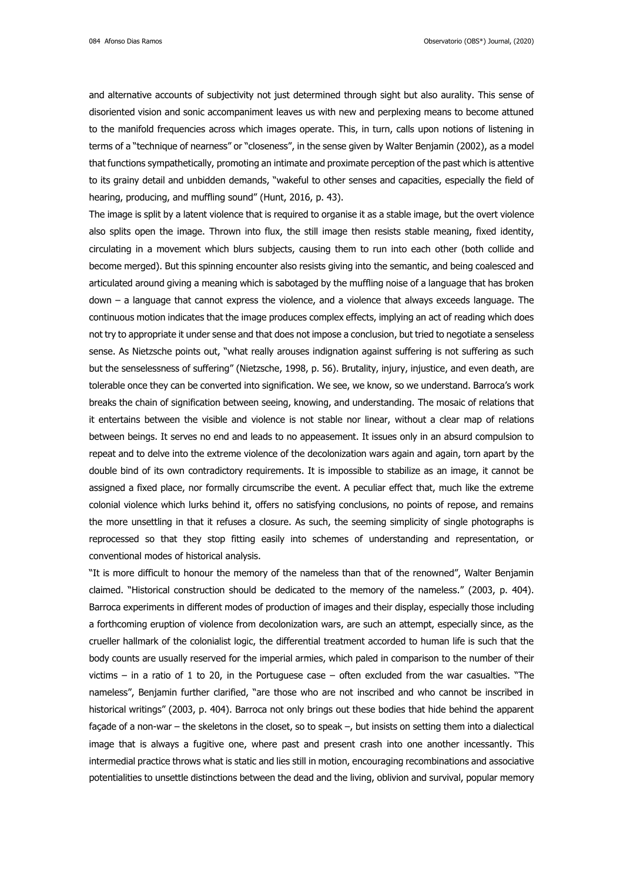084 Afonso Dias Ramos Observatorio (OBS\*) Journal, (2020)

and alternative accounts of subjectivity not just determined through sight but also aurality. This sense of disoriented vision and sonic accompaniment leaves us with new and perplexing means to become attuned to the manifold frequencies across which images operate. This, in turn, calls upon notions of listening in terms of a "technique of nearness" or "closeness", in the sense given by Walter Benjamin (2002), as a model that functions sympathetically, promoting an intimate and proximate perception of the past which is attentive to its grainy detail and unbidden demands, "wakeful to other senses and capacities, especially the field of hearing, producing, and muffling sound" (Hunt, 2016, p. 43).

The image is split by a latent violence that is required to organise it as a stable image, but the overt violence also splits open the image. Thrown into flux, the still image then resists stable meaning, fixed identity, circulating in a movement which blurs subjects, causing them to run into each other (both collide and become merged). But this spinning encounter also resists giving into the semantic, and being coalesced and articulated around giving a meaning which is sabotaged by the muffling noise of a language that has broken down – a language that cannot express the violence, and a violence that always exceeds language. The continuous motion indicates that the image produces complex effects, implying an act of reading which does not try to appropriate it under sense and that does not impose a conclusion, but tried to negotiate a senseless sense. As Nietzsche points out, "what really arouses indignation against suffering is not suffering as such but the senselessness of suffering" (Nietzsche, 1998, p. 56). Brutality, injury, injustice, and even death, are tolerable once they can be converted into signification. We see, we know, so we understand. Barroca's work breaks the chain of signification between seeing, knowing, and understanding. The mosaic of relations that it entertains between the visible and violence is not stable nor linear, without a clear map of relations between beings. It serves no end and leads to no appeasement. It issues only in an absurd compulsion to repeat and to delve into the extreme violence of the decolonization wars again and again, torn apart by the double bind of its own contradictory requirements. It is impossible to stabilize as an image, it cannot be assigned a fixed place, nor formally circumscribe the event. A peculiar effect that, much like the extreme colonial violence which lurks behind it, offers no satisfying conclusions, no points of repose, and remains the more unsettling in that it refuses a closure. As such, the seeming simplicity of single photographs is reprocessed so that they stop fitting easily into schemes of understanding and representation, or conventional modes of historical analysis.

"It is more difficult to honour the memory of the nameless than that of the renowned", Walter Benjamin claimed. "Historical construction should be dedicated to the memory of the nameless." (2003, p. 404). Barroca experiments in different modes of production of images and their display, especially those including a forthcoming eruption of violence from decolonization wars, are such an attempt, especially since, as the crueller hallmark of the colonialist logic, the differential treatment accorded to human life is such that the body counts are usually reserved for the imperial armies, which paled in comparison to the number of their victims – in a ratio of 1 to 20, in the Portuguese case – often excluded from the war casualties. "The nameless", Benjamin further clarified, "are those who are not inscribed and who cannot be inscribed in historical writings" (2003, p. 404). Barroca not only brings out these bodies that hide behind the apparent façade of a non-war – the skeletons in the closet, so to speak –, but insists on setting them into a dialectical image that is always a fugitive one, where past and present crash into one another incessantly. This intermedial practice throws what is static and lies still in motion, encouraging recombinations and associative potentialities to unsettle distinctions between the dead and the living, oblivion and survival, popular memory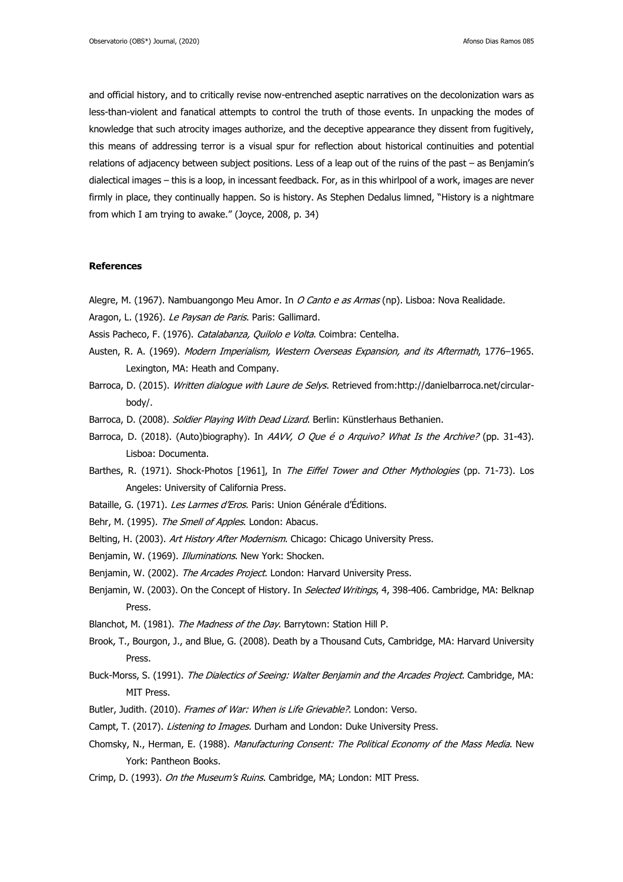and official history, and to critically revise now-entrenched aseptic narratives on the decolonization wars as less-than-violent and fanatical attempts to control the truth of those events. In unpacking the modes of knowledge that such atrocity images authorize, and the deceptive appearance they dissent from fugitively, this means of addressing terror is a visual spur for reflection about historical continuities and potential relations of adjacency between subject positions. Less of a leap out of the ruins of the past – as Benjamin's dialectical images – this is a loop, in incessant feedback. For, as in this whirlpool of a work, images are never firmly in place, they continually happen. So is history. As Stephen Dedalus limned, "History is a nightmare from which I am trying to awake." (Joyce, 2008, p. 34)

## **References**

Alegre, M. (1967). Nambuangongo Meu Amor. In O Canto e as Armas (np). Lisboa: Nova Realidade.

Aragon, L. (1926). Le Paysan de Paris. Paris: Gallimard.

Assis Pacheco, F. (1976). Catalabanza, Quilolo e Volta. Coimbra: Centelha.

- Austen, R. A. (1969). Modern Imperialism, Western Overseas Expansion, and its Aftermath, 1776–1965. Lexington, MA: Heath and Company.
- Barroca, D. (2015). Written dialoque with Laure de Selys. Retrieved from:http://danielbarroca.net/circularbody/.
- Barroca, D. (2008). Soldier Playing With Dead Lizard. Berlin: Künstlerhaus Bethanien.
- Barroca, D. (2018). (Auto)biography). In AAVV, O Que é o Arquivo? What Is the Archive? (pp. 31-43). Lisboa: Documenta.
- Barthes, R. (1971). Shock-Photos [1961], In The Eiffel Tower and Other Mythologies (pp. 71-73). Los Angeles: University of California Press.
- Bataille, G. (1971). Les Larmes d'Eros. Paris: Union Générale d'Éditions.
- Behr, M. (1995). The Smell of Apples. London: Abacus.
- Belting, H. (2003). Art History After Modernism. Chicago: Chicago University Press.
- Benjamin, W. (1969). Illuminations. New York: Shocken.
- Benjamin, W. (2002). The Arcades Project. London: Harvard University Press.
- Benjamin, W. (2003). On the Concept of History. In Selected Writings, 4, 398-406. Cambridge, MA: Belknap Press.
- Blanchot, M. (1981). The Madness of the Day. Barrytown: Station Hill P.
- Brook, T., Bourgon, J., and Blue, G. (2008). Death by a Thousand Cuts, Cambridge, MA: Harvard University Press.
- Buck-Morss, S. (1991). The Dialectics of Seeing: Walter Benjamin and the Arcades Project. Cambridge, MA: MIT Press.
- Butler, Judith. (2010). Frames of War: When is Life Grievable?. London: Verso.
- Campt, T. (2017). Listening to Images. Durham and London: Duke University Press.
- Chomsky, N., Herman, E. (1988). Manufacturing Consent: The Political Economy of the Mass Media. New York: Pantheon Books.
- Crimp, D. (1993). On the Museum's Ruins. Cambridge, MA; London: MIT Press.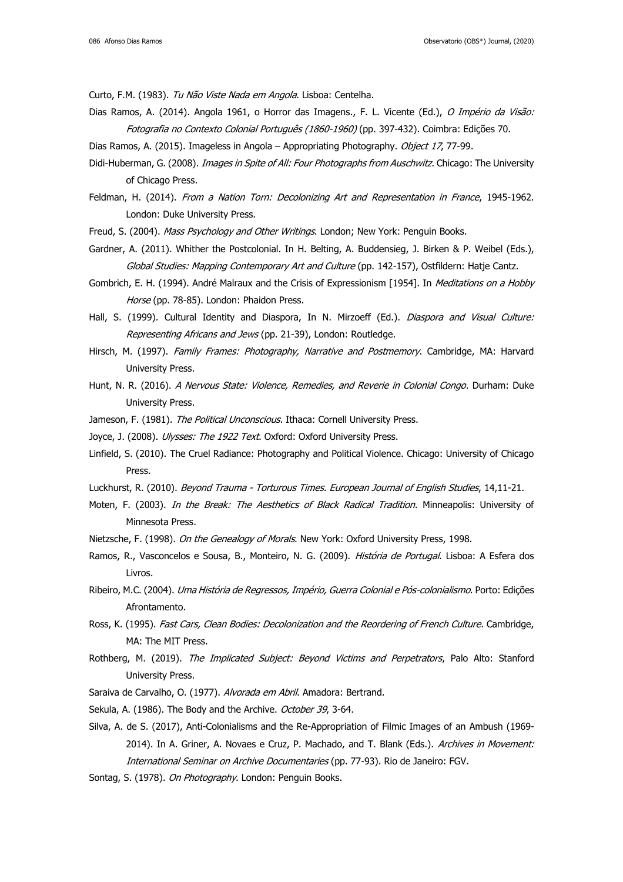Curto, F.M. (1983). Tu Não Viste Nada em Angola. Lisboa: Centelha.

- Dias Ramos, A. (2014). Angola 1961, o Horror das Imagens., F. L. Vicente (Ed.), O Império da Visão: Fotografia no Contexto Colonial Português (1860-1960) (pp. 397-432). Coimbra: Edições 70.
- Dias Ramos, A. (2015). Imageless in Angola Appropriating Photography. Object 17, 77-99.
- Didi-Huberman, G. (2008). *Images in Spite of All: Four Photographs from Auschwitz*. Chicago: The University of Chicago Press.
- Feldman, H. (2014). From a Nation Torn: Decolonizing Art and Representation in France, 1945-1962. London: Duke University Press.
- Freud, S. (2004). Mass Psychology and Other Writings. London; New York: Penguin Books.
- Gardner, A. (2011). Whither the Postcolonial. In H. Belting, A. Buddensieg, J. Birken & P. Weibel (Eds.), Global Studies: Mapping Contemporary Art and Culture (pp. 142-157), Ostfildern: Hatje Cantz.
- Gombrich, E. H. (1994). André Malraux and the Crisis of Expressionism [1954]. In Meditations on a Hobby Horse (pp. 78-85). London: Phaidon Press.
- Hall, S. (1999). Cultural Identity and Diaspora, In N. Mirzoeff (Ed.). *Diaspora and Visual Culture:* Representing Africans and Jews (pp. 21-39), London: Routledge.
- Hirsch, M. (1997). Family Frames: Photography, Narrative and Postmemory. Cambridge, MA: Harvard University Press.
- Hunt, N. R. (2016). A Nervous State: Violence, Remedies, and Reverie in Colonial Congo. Durham: Duke University Press.
- Jameson, F. (1981). The Political Unconscious. Ithaca: Cornell University Press.
- Joyce, J. (2008). Ulysses: The 1922 Text. Oxford: Oxford University Press.
- Linfield, S. (2010). The Cruel Radiance: Photography and Political Violence. Chicago: University of Chicago Press.
- Luckhurst, R. (2010). Beyond Trauma Torturous Times. European Journal of English Studies, 14,11-21.
- Moten, F. (2003). *In the Break: The Aesthetics of Black Radical Tradition*. Minneapolis: University of Minnesota Press.
- Nietzsche, F. (1998). On the Genealogy of Morals. New York: Oxford University Press, 1998.
- Ramos, R., Vasconcelos e Sousa, B., Monteiro, N. G. (2009). História de Portugal. Lisboa: A Esfera dos Livros.
- Ribeiro, M.C. (2004). Uma História de Regressos, Império, Guerra Colonial e Pós-colonialismo. Porto: Edições Afrontamento.
- Ross, K. (1995). Fast Cars, Clean Bodies: Decolonization and the Reordering of French Culture. Cambridge, MA: The MIT Press.
- Rothberg, M. (2019). The Implicated Subject: Beyond Victims and Perpetrators, Palo Alto: Stanford University Press.
- Saraiva de Carvalho, O. (1977). Alvorada em Abril. Amadora: Bertrand.
- Sekula, A. (1986). The Body and the Archive. October 39, 3-64.
- Silva, A. de S. (2017), Anti-Colonialisms and the Re-Appropriation of Filmic Images of an Ambush (1969- 2014). In A. Griner, A. Novaes e Cruz, P. Machado, and T. Blank (Eds.). Archives in Movement: International Seminar on Archive Documentaries (pp. 77-93). Rio de Janeiro: FGV.
- Sontag, S. (1978). On Photography. London: Penguin Books.